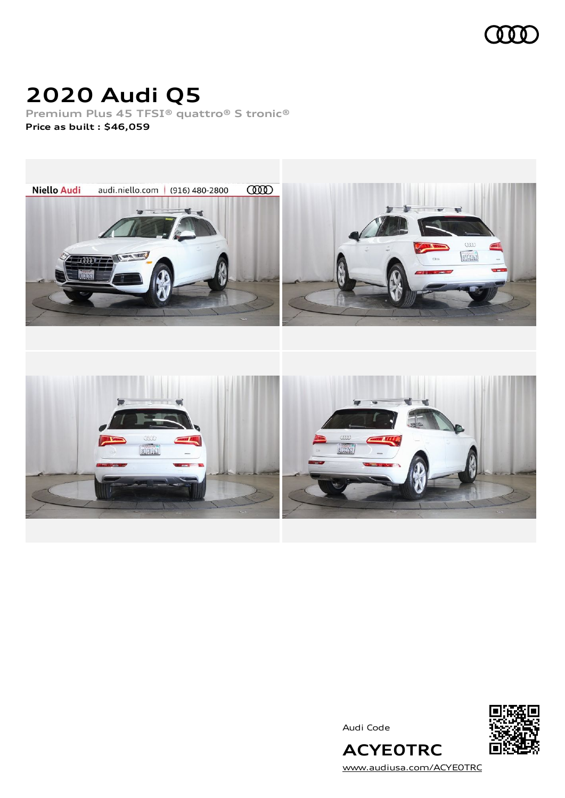

# **2020 Audi Q5**

**Premium Plus 45 TFSI® quattro® S tronic® Price as built [:](#page-8-0) \$46,059**



Audi Code



[www.audiusa.com/ACYE0TRC](https://www.audiusa.com/ACYE0TRC)

**ACYE0TRC**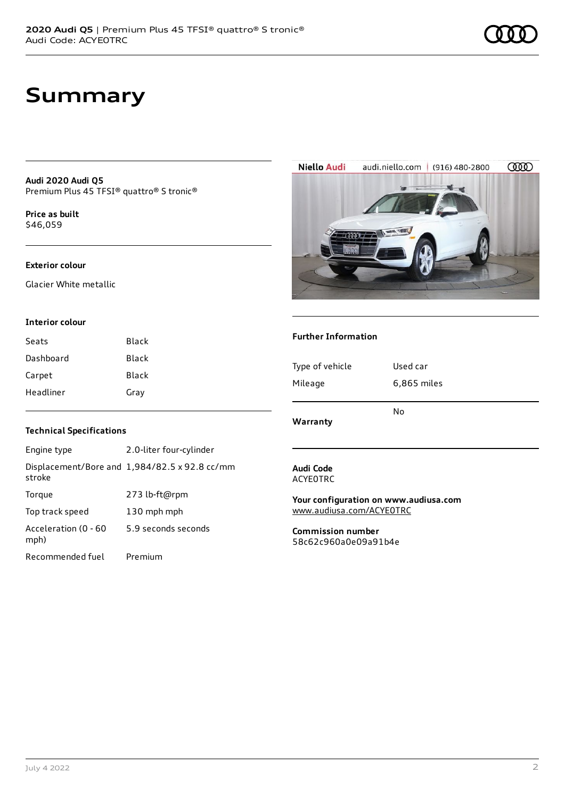## **Summary**

**Audi 2020 Audi Q5** Premium Plus 45 TFSI® quattro® S tronic®

**Price as buil[t](#page-8-0)** \$46,059

### **Exterior colour**

Glacier White metallic

### **Interior colour**

| Seats     | Black        |
|-----------|--------------|
| Dashboard | <b>Black</b> |
| Carpet    | Black        |
| Headliner | Gray         |

### **Technical Specifications**

| Engine type                  | 2.0-liter four-cylinder                       |
|------------------------------|-----------------------------------------------|
| stroke                       | Displacement/Bore and 1,984/82.5 x 92.8 cc/mm |
| Torque                       | 273 lb-ft@rpm                                 |
| Top track speed              | 130 mph mph                                   |
| Acceleration (0 - 60<br>mph) | 5.9 seconds seconds                           |
| Recommended fuel             | Premium                                       |

# **Further Information**

| Warranty        |             |
|-----------------|-------------|
|                 | No          |
| Mileage         | 6,865 miles |
| Type of vehicle | Used car    |

### **Audi Code** ACYE0TRC

**Your configuration on www.audiusa.com** [www.audiusa.com/ACYE0TRC](https://www.audiusa.com/ACYE0TRC)

**Commission number** 58c62c960a0e09a91b4e



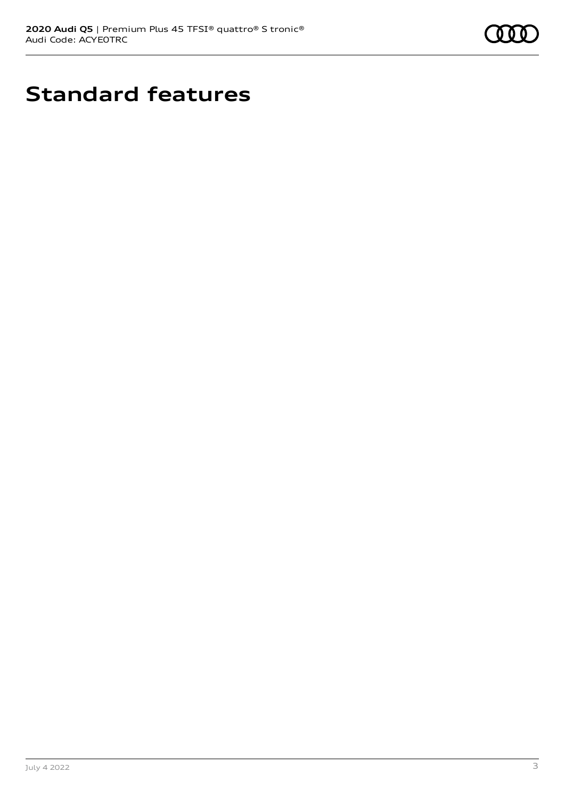

# **Standard features**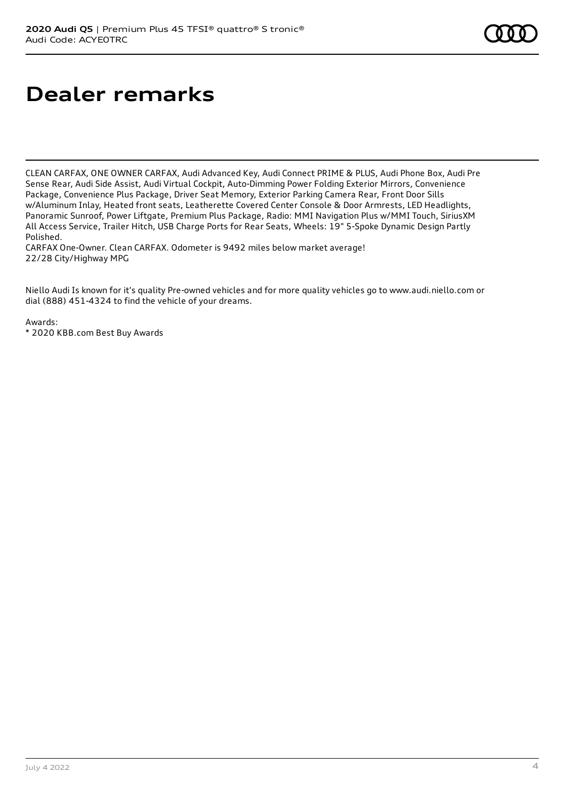# **Dealer remarks**

CLEAN CARFAX, ONE OWNER CARFAX, Audi Advanced Key, Audi Connect PRIME & PLUS, Audi Phone Box, Audi Pre Sense Rear, Audi Side Assist, Audi Virtual Cockpit, Auto-Dimming Power Folding Exterior Mirrors, Convenience Package, Convenience Plus Package, Driver Seat Memory, Exterior Parking Camera Rear, Front Door Sills w/Aluminum Inlay, Heated front seats, Leatherette Covered Center Console & Door Armrests, LED Headlights, Panoramic Sunroof, Power Liftgate, Premium Plus Package, Radio: MMI Navigation Plus w/MMI Touch, SiriusXM All Access Service, Trailer Hitch, USB Charge Ports for Rear Seats, Wheels: 19" 5-Spoke Dynamic Design Partly Polished.

CARFAX One-Owner. Clean CARFAX. Odometer is 9492 miles below market average! 22/28 City/Highway MPG

Niello Audi Is known for it's quality Pre-owned vehicles and for more quality vehicles go to www.audi.niello.com or dial (888) 451-4324 to find the vehicle of your dreams.

Awards: \* 2020 KBB.com Best Buy Awards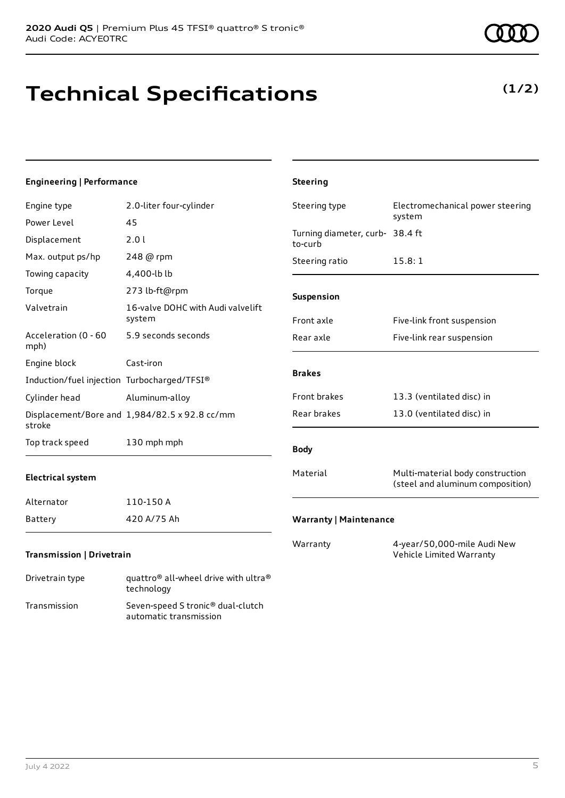## **Technical Specifications**

technology Transmission Seven-speed S tronic® dual-clutch

automatic transmission

### **Engineering | Performance**

| Engine type                                 | 2.0-liter four-cylinder                                      | Steering type                              | Electromechanical power steering                                     |
|---------------------------------------------|--------------------------------------------------------------|--------------------------------------------|----------------------------------------------------------------------|
| Power Level                                 | 45                                                           |                                            | system                                                               |
| Displacement                                | 2.0 l                                                        | Turning diameter, curb- 38.4 ft<br>to-curb |                                                                      |
| Max. output ps/hp                           | 248 @ rpm                                                    | Steering ratio                             | 15.8:1                                                               |
| Towing capacity                             | 4,400-lb lb                                                  |                                            |                                                                      |
| Torque                                      | 273 lb-ft@rpm                                                | Suspension                                 |                                                                      |
| Valvetrain                                  | 16-valve DOHC with Audi valvelift<br>system                  | Front axle                                 | Five-link front suspension                                           |
| Acceleration (0 - 60<br>mph)                | 5.9 seconds seconds                                          | Rear axle                                  | Five-link rear suspension                                            |
| Engine block                                | Cast-iron                                                    |                                            |                                                                      |
| Induction/fuel injection Turbocharged/TFSI® |                                                              | <b>Brakes</b>                              |                                                                      |
| Cylinder head                               | Aluminum-alloy                                               | Front brakes                               | 13.3 (ventilated disc) in                                            |
| stroke                                      | Displacement/Bore and 1,984/82.5 x 92.8 cc/mm                | Rear brakes                                | 13.0 (ventilated disc) in                                            |
| Top track speed                             | 130 mph mph                                                  | <b>Body</b>                                |                                                                      |
| <b>Electrical system</b>                    |                                                              | Material                                   | Multi-material body construction<br>(steel and aluminum composition) |
| Alternator                                  | 110-150 A                                                    |                                            |                                                                      |
| <b>Battery</b>                              | 420 A/75 Ah                                                  | <b>Warranty   Maintenance</b>              |                                                                      |
| <b>Transmission   Drivetrain</b>            |                                                              | Warranty                                   | 4-year/50,000-mile Audi New<br>Vehicle Limited Warranty              |
| Drivetrain type                             | quattro <sup>®</sup> all-wheel drive with ultra <sup>®</sup> |                                            |                                                                      |

**Steering**

**(1/2)**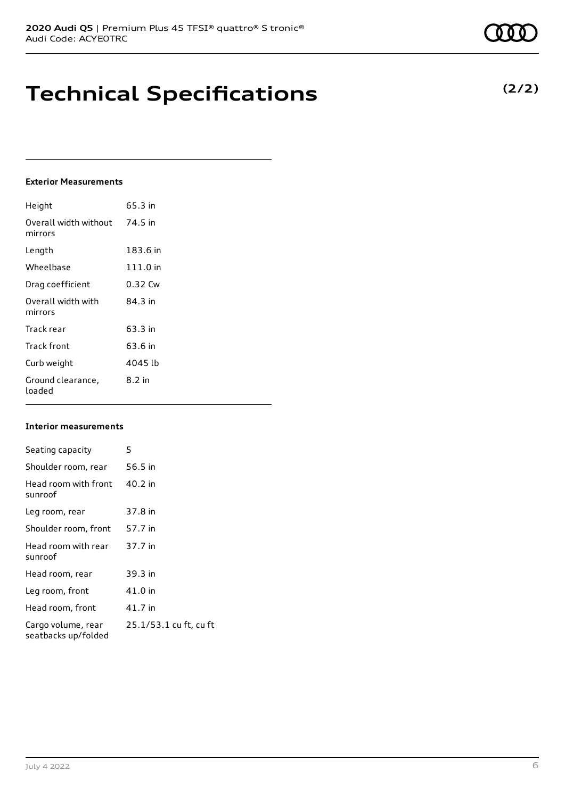## **Technical Specifications**

### **Exterior Measurements**

| Height                           | 65.3 in    |
|----------------------------------|------------|
| Overall width without<br>mirrors | 74.5 in    |
| Length                           | 183.6 in   |
| Wheelbase                        | $111.0$ in |
| Drag coefficient                 | 0.32 Cw    |
| Overall width with<br>mirrors    | 84.3 in    |
| Track rear                       | 63.3 in    |
| <b>Track front</b>               | 63.6 in    |
| Curb weight                      | 4045 lb    |
| Ground clearance,<br>loaded      | 8.2 in     |

### **Interior measurements**

| Seating capacity                          | 5                      |
|-------------------------------------------|------------------------|
| Shoulder room, rear                       | 56.5 in                |
| Head room with front<br>sunroof           | 40.2 in                |
| Leg room, rear                            | 37.8 in                |
| Shoulder room, front                      | 57.7 in                |
| Head room with rear<br>sunroof            | 37.7 in                |
| Head room, rear                           | 39.3 in                |
| Leg room, front                           | 41.0 in                |
| Head room, front                          | 41.7 in                |
| Cargo volume, rear<br>seatbacks up/folded | 25.1/53.1 cu ft, cu ft |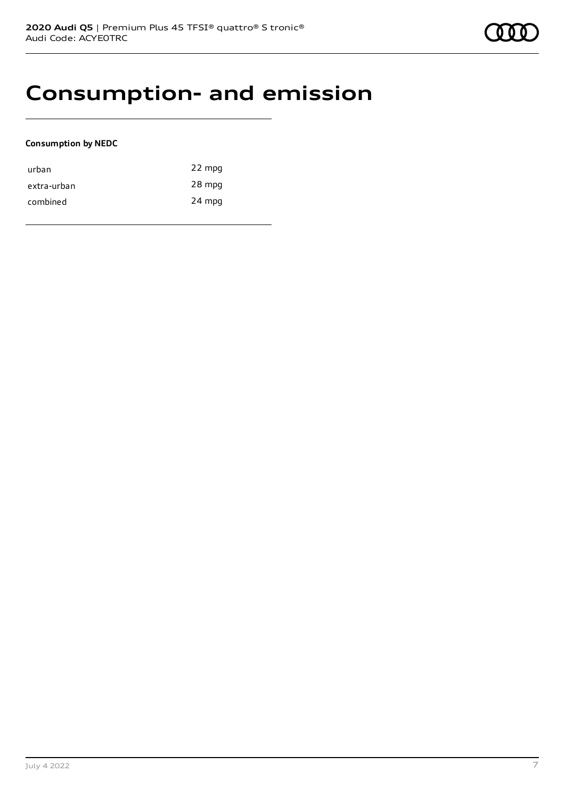### **Consumption- and emission**

### **Consumption by NEDC**

| urban       | 22 mpg |
|-------------|--------|
| extra-urban | 28 mpg |
| combined    | 24 mpg |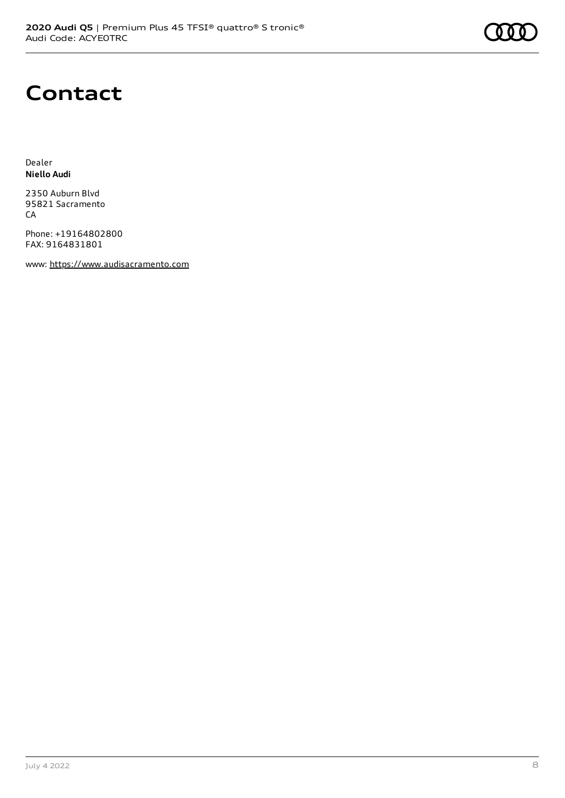## **Contact**

Dealer **Niello Audi**

2350 Auburn Blvd 95821 Sacramento CA

Phone: +19164802800 FAX: 9164831801

www: [https://www.audisacramento.com](https://www.audisacramento.com/)